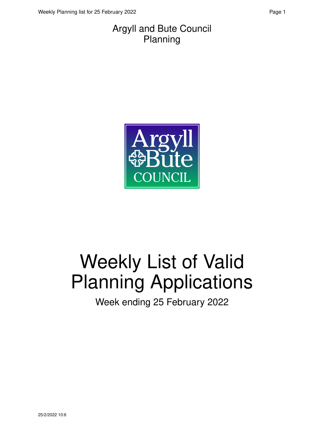#### Argyll and Bute Council Planning



# Weekly List of Valid Planning Applications

Week ending 25 February 2022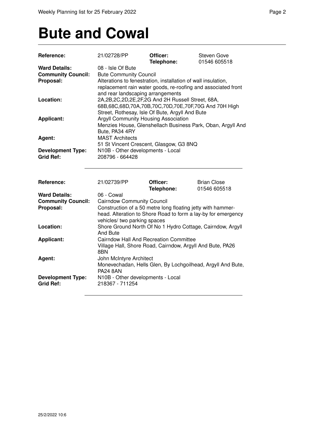## **Bute and Cowal**

| Reference:                                        | 21/02728/PP                                                                                                                                                                | Officer:<br>Telephone:                                      | <b>Steven Gove</b><br>01546 605518                          |
|---------------------------------------------------|----------------------------------------------------------------------------------------------------------------------------------------------------------------------------|-------------------------------------------------------------|-------------------------------------------------------------|
| <b>Ward Details:</b><br><b>Community Council:</b> | 08 - Isle Of Bute<br><b>Bute Community Council</b>                                                                                                                         |                                                             |                                                             |
| Proposal:                                         | Alterations to fenestration, installation of wall insulation,<br>replacement rain water goods, re-roofing and associated front<br>and rear landscaping arrangements        |                                                             |                                                             |
| Location:                                         | 2A, 2B, 2C, 2D, 2E, 2F, 2G And 2H Russell Street, 68A,<br>68B, 68C, 68D, 70A, 70B, 70C, 70D, 70E, 70F, 70G And 70H High<br>Street, Rothesay, Isle Of Bute, Argyll And Bute |                                                             |                                                             |
| Applicant:                                        | Argyll Community Housing Association<br>Bute, PA34 4RY                                                                                                                     |                                                             | Menzies House, Glenshellach Business Park, Oban, Argyll And |
| Agent:                                            | <b>MAST Architects</b><br>51 St Vincent Crescent, Glasgow, G3 8NQ                                                                                                          |                                                             |                                                             |
| <b>Development Type:</b><br><b>Grid Ref:</b>      | N10B - Other developments - Local<br>208796 - 664428                                                                                                                       |                                                             |                                                             |
| Reference:                                        | 21/02739/PP                                                                                                                                                                | Officer:<br>Telephone:                                      | <b>Brian Close</b><br>01546 605518                          |
| <b>Ward Details:</b>                              | 06 - Cowal                                                                                                                                                                 |                                                             |                                                             |
| <b>Community Council:</b>                         | <b>Cairndow Community Council</b>                                                                                                                                          |                                                             |                                                             |
| Proposal:                                         | Construction of a 50 metre long floating jetty with hammer-<br>head. Alteration to Shore Road to form a lay-by for emergency                                               |                                                             |                                                             |
|                                                   | vehicles/ two parking spaces                                                                                                                                               |                                                             |                                                             |
| Location:                                         | Shore Ground North Of No 1 Hydro Cottage, Cairndow, Argyll<br>And Bute                                                                                                     |                                                             |                                                             |
| <b>Applicant:</b>                                 | <b>Cairndow Hall And Recreation Committee</b><br>Village Hall, Shore Road, Cairndow, Argyll And Bute, PA26<br>8BN                                                          |                                                             |                                                             |
| Agent:                                            | John McIntyre Architect                                                                                                                                                    |                                                             |                                                             |
|                                                   | <b>PA24 8AN</b>                                                                                                                                                            | Monevechadan, Hells Glen, By Lochgoilhead, Argyll And Bute, |                                                             |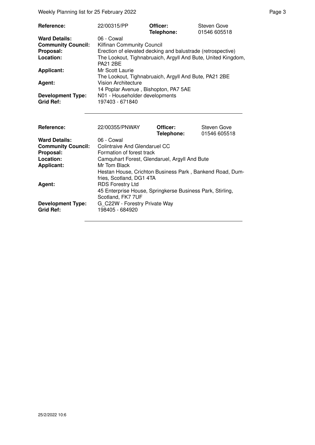Weekly Planning list for 25 February 2022 **Page 3** Page 3

| Reference:                                   | 22/00315/PP                                                  | Officer:<br>Telephone: | <b>Steven Gove</b><br>01546 605518 |
|----------------------------------------------|--------------------------------------------------------------|------------------------|------------------------------------|
| <b>Ward Details:</b>                         | 06 - Cowal                                                   |                        |                                    |
| <b>Community Council:</b>                    | Kilfinan Community Council                                   |                        |                                    |
| Proposal:                                    | Erection of elevated decking and balustrade (retrospective)  |                        |                                    |
| Location:                                    | The Lookout, Tighnabruaich, Argyll And Bute, United Kingdom, |                        |                                    |
|                                              | <b>PA21 2BE</b>                                              |                        |                                    |
| <b>Applicant:</b>                            | Mr Scott Laurie                                              |                        |                                    |
|                                              | The Lookout, Tighnabruaich, Argyll And Bute, PA21 2BE        |                        |                                    |
| Agent:                                       | Vision Architecture                                          |                        |                                    |
|                                              | 14 Poplar Avenue, Bishopton, PA7 5AE                         |                        |                                    |
| <b>Development Type:</b><br><b>Grid Ref:</b> | N01 - Householder developments<br>197403 - 671840            |                        |                                    |

| Reference:                                   | 22/00355/PNWAY                                                                       | Officer:<br>Telephone: | <b>Steven Gove</b><br>01546 605518 |
|----------------------------------------------|--------------------------------------------------------------------------------------|------------------------|------------------------------------|
| <b>Ward Details:</b>                         | 06 - Cowal                                                                           |                        |                                    |
| <b>Community Council:</b>                    | Colintraive And Glendaruel CC                                                        |                        |                                    |
| Proposal:                                    | Formation of forest track                                                            |                        |                                    |
| Location:                                    | Camquhart Forest, Glendaruel, Argyll And Bute                                        |                        |                                    |
| <b>Applicant:</b>                            | Mr Tom Black                                                                         |                        |                                    |
|                                              | Hestan House, Crichton Business Park, Bankend Road, Dum-<br>fries, Scotland, DG1 4TA |                        |                                    |
| Agent:                                       | <b>RDS Forestry Ltd</b>                                                              |                        |                                    |
|                                              | 45 Enterprise House, Springkerse Business Park, Stirling,<br>Scotland, FK7 7UF       |                        |                                    |
| <b>Development Type:</b><br><b>Grid Ref:</b> | G C22W - Forestry Private Way<br>198405 - 684920                                     |                        |                                    |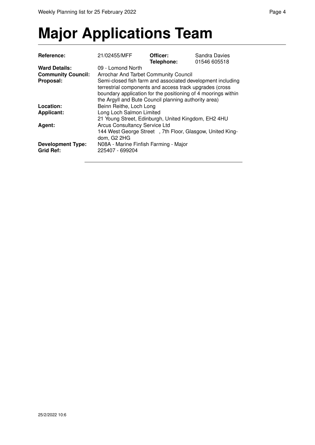# **Major Applications Team**

| <b>Reference:</b>                            | 21/02455/MFF                                                                                                                                                                                                                                   | Officer:<br>Telephone: | Sandra Davies<br>01546 605518 |
|----------------------------------------------|------------------------------------------------------------------------------------------------------------------------------------------------------------------------------------------------------------------------------------------------|------------------------|-------------------------------|
| <b>Ward Details:</b>                         | 09 - Lomond North                                                                                                                                                                                                                              |                        |                               |
| <b>Community Council:</b>                    | Arrochar And Tarbet Community Council                                                                                                                                                                                                          |                        |                               |
| Proposal:                                    | Semi-closed fish farm and associated development including<br>terrestrial components and access track upgrades (cross<br>boundary application for the positioning of 4 moorings within<br>the Argyll and Bute Council planning authority area) |                        |                               |
| Location:                                    | Beinn Reithe, Loch Long                                                                                                                                                                                                                        |                        |                               |
| <b>Applicant:</b>                            | Long Loch Salmon Limited<br>21 Young Street, Edinburgh, United Kingdom, EH2 4HU                                                                                                                                                                |                        |                               |
| Agent:                                       | <b>Arcus Consultancy Service Ltd</b><br>144 West George Street, 7th Floor, Glasgow, United King-<br>dom, G2 2HG                                                                                                                                |                        |                               |
| <b>Development Type:</b><br><b>Grid Ref:</b> | N08A - Marine Finfish Farming - Major<br>225407 - 699204                                                                                                                                                                                       |                        |                               |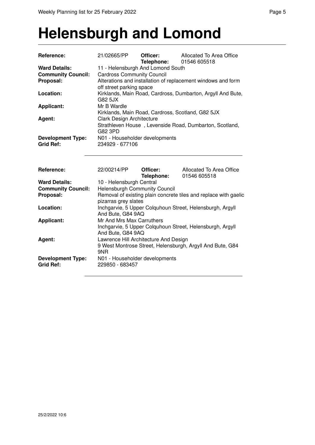#### **Helensburgh and Lomond**

| Reference:                                   | 21/02665/PP                                       | Officer:<br>Telephone: | Allocated To Area Office<br>01546 605518                         |  |
|----------------------------------------------|---------------------------------------------------|------------------------|------------------------------------------------------------------|--|
| <b>Ward Details:</b>                         | 11 - Helensburgh And Lomond South                 |                        |                                                                  |  |
| <b>Community Council:</b>                    | <b>Cardross Community Council</b>                 |                        |                                                                  |  |
| Proposal:                                    |                                                   |                        | Alterations and installation of replacement windows and form     |  |
| Location:                                    | off street parking space<br>G82 5JX               |                        | Kirklands, Main Road, Cardross, Dumbarton, Argyll And Bute,      |  |
| <b>Applicant:</b>                            | Mr B Wardle                                       |                        |                                                                  |  |
|                                              | Kirklands, Main Road, Cardross, Scotland, G82 5JX |                        |                                                                  |  |
| Agent:                                       | Clark Design Architecture                         |                        |                                                                  |  |
|                                              | G82 3PD                                           |                        | Strathleven House, Levenside Road, Dumbarton, Scotland,          |  |
| <b>Development Type:</b>                     | N01 - Householder developments                    |                        |                                                                  |  |
| <b>Grid Ref:</b>                             | 234929 - 677106                                   |                        |                                                                  |  |
|                                              |                                                   |                        |                                                                  |  |
|                                              |                                                   |                        |                                                                  |  |
| Reference:                                   | 22/00214/PP                                       | Officer:<br>Telephone: | Allocated To Area Office<br>01546 605518                         |  |
| <b>Ward Details:</b>                         | 10 - Helensburgh Central                          |                        |                                                                  |  |
| <b>Community Council:</b>                    | <b>Helensburgh Community Council</b>              |                        |                                                                  |  |
| Proposal:                                    |                                                   |                        | Removal of existing plain concrete tiles and replace with gaelic |  |
|                                              | pizarras grey slates                              |                        |                                                                  |  |
| Location:                                    |                                                   |                        | Inchgarvie, 5 Upper Colquhoun Street, Helensburgh, Argyll        |  |
| <b>Applicant:</b>                            | And Bute, G84 9AQ<br>Mr And Mrs Max Carruthers    |                        |                                                                  |  |
|                                              |                                                   |                        | Inchgarvie, 5 Upper Colquhoun Street, Helensburgh, Argyll        |  |
|                                              | And Bute, G84 9AQ                                 |                        |                                                                  |  |
| Agent:                                       | Lawrence Hill Architecture And Design             |                        |                                                                  |  |
|                                              |                                                   |                        | 9 West Montrose Street, Helensburgh, Argyll And Bute, G84        |  |
|                                              | 9NR                                               |                        |                                                                  |  |
| <b>Development Type:</b><br><b>Grid Ref:</b> | N01 - Householder developments<br>229850 - 683457 |                        |                                                                  |  |
|                                              |                                                   |                        |                                                                  |  |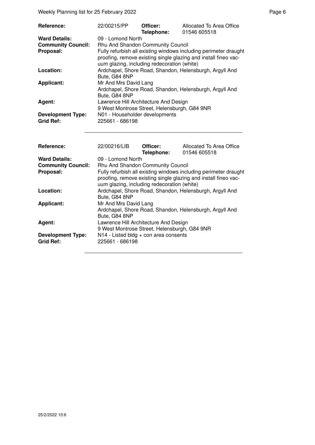| Reference:                                                     | 22/00215/PP                                                                                                                                                                                                                                  | Officer:<br>Telephone: | Allocated To Area Office<br>01546 605518                                                                                            |  |
|----------------------------------------------------------------|----------------------------------------------------------------------------------------------------------------------------------------------------------------------------------------------------------------------------------------------|------------------------|-------------------------------------------------------------------------------------------------------------------------------------|--|
| <b>Ward Details:</b><br><b>Community Council:</b><br>Proposal: | 09 - Lomond North<br>Rhu And Shandon Community Council<br>Fully refurbish all existing windows including perimeter draught<br>proofing, remove existing single glazing and install fineo vac-<br>uum glazing, including redecoration (white) |                        |                                                                                                                                     |  |
| Location:                                                      | Bute, G84 8NP                                                                                                                                                                                                                                |                        | Ardchapel, Shore Road, Shandon, Helensburgh, Argyll And                                                                             |  |
| <b>Applicant:</b>                                              | Mr And Mrs David Lang<br>Ardchapel, Shore Road, Shandon, Helensburgh, Argyll And<br>Bute, G84 8NP                                                                                                                                            |                        |                                                                                                                                     |  |
| Agent:                                                         | Lawrence Hill Architecture And Design<br>9 West Montrose Street, Helensburgh, G84 9NR                                                                                                                                                        |                        |                                                                                                                                     |  |
| <b>Development Type:</b><br><b>Grid Ref:</b>                   | N01 - Householder developments<br>225661 - 686198                                                                                                                                                                                            |                        |                                                                                                                                     |  |
| Reference:                                                     | 22/00216/LIB                                                                                                                                                                                                                                 | Officer:<br>Telephone: | Allocated To Area Office<br>01546 605518                                                                                            |  |
| <b>Ward Details:</b><br><b>Community Council:</b>              | 09 - Lomond North<br>Rhu And Shandon Community Council                                                                                                                                                                                       |                        |                                                                                                                                     |  |
| Proposal:                                                      | uum glazing, including redecoration (white)                                                                                                                                                                                                  |                        | Fully refurbish all existing windows including perimeter draught<br>proofing, remove existing single glazing and install fineo vac- |  |
| Location:                                                      | Bute, G84 8NP                                                                                                                                                                                                                                |                        | Ardchapel, Shore Road, Shandon, Helensburgh, Argyll And                                                                             |  |
| <b>Applicant:</b>                                              | Mr And Mrs David Lang<br>Bute, G84 8NP                                                                                                                                                                                                       |                        | Ardchapel, Shore Road, Shandon, Helensburgh, Argyll And                                                                             |  |
| Agent:                                                         | Lawrence Hill Architecture And Design<br>9 West Montrose Street, Helensburgh, G84 9NR                                                                                                                                                        |                        |                                                                                                                                     |  |
| <b>Development Type:</b><br><b>Grid Ref:</b>                   | N14 - Listed bldg + con area consents<br>225661 - 686198                                                                                                                                                                                     |                        |                                                                                                                                     |  |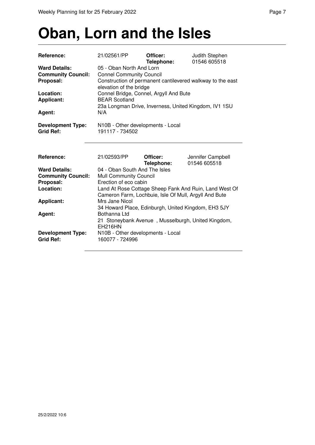### **Oban, Lorn and the Isles**

| Reference:                                                     | 21/02561/PP                                                                                                                                          | Officer:<br>Telephone: | Judith Stephen<br>01546 605518    |  |
|----------------------------------------------------------------|------------------------------------------------------------------------------------------------------------------------------------------------------|------------------------|-----------------------------------|--|
| <b>Ward Details:</b><br><b>Community Council:</b><br>Proposal: | 05 - Oban North And Lorn<br><b>Connel Community Council</b><br>Construction of permanent cantilevered walkway to the east<br>elevation of the bridge |                        |                                   |  |
| Location:<br><b>Applicant:</b>                                 | Connel Bridge, Connel, Argyll And Bute<br><b>BEAR Scotland</b><br>23a Longman Drive, Inverness, United Kingdom, IV1 1SU                              |                        |                                   |  |
| Agent:                                                         | N/A                                                                                                                                                  |                        |                                   |  |
| <b>Development Type:</b><br><b>Grid Ref:</b>                   | N10B - Other developments - Local<br>191117 - 734502                                                                                                 |                        |                                   |  |
| Reference:                                                     | 21/02593/PP                                                                                                                                          | Officer:<br>Telephone: | Jennifer Campbell<br>01546 605518 |  |
| <b>Ward Details:</b><br><b>Community Council:</b><br>Proposal: | 04 - Oban South And The Isles<br>Mull Community Council<br>Erection of eco cabin                                                                     |                        |                                   |  |
| Location:                                                      | Land At Rose Cottage Sheep Fank And Ruin, Land West Of<br>Cameron Farm, Lochbuie, Isle Of Mull, Argyll And Bute                                      |                        |                                   |  |
| <b>Applicant:</b>                                              | Mrs Jane Nicol<br>34 Howard Place, Edinburgh, United Kingdom, EH3 5JY                                                                                |                        |                                   |  |
| Agent:                                                         | Bothanna Ltd<br>21 Stoneybank Avenue, Musselburgh, United Kingdom,<br><b>EH216HN</b>                                                                 |                        |                                   |  |
| <b>Development Type:</b><br><b>Grid Ref:</b>                   | N10B - Other developments - Local<br>160077 - 724996                                                                                                 |                        |                                   |  |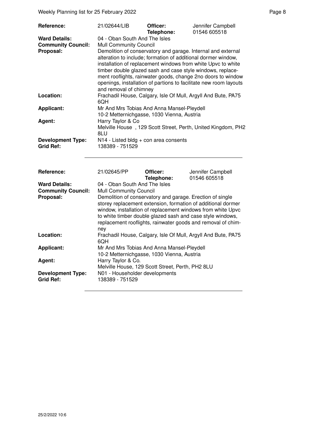Weekly Planning list for 25 February 2022 **Page 8** Page 8

| Reference:                                                     | 21/02644/LIB                                                                                                                                                                                                                                                                                                                                                                                                                                                                                 | Officer:<br>Telephone: | Jennifer Campbell<br>01546 605518                                                                                                                                                           |  |
|----------------------------------------------------------------|----------------------------------------------------------------------------------------------------------------------------------------------------------------------------------------------------------------------------------------------------------------------------------------------------------------------------------------------------------------------------------------------------------------------------------------------------------------------------------------------|------------------------|---------------------------------------------------------------------------------------------------------------------------------------------------------------------------------------------|--|
| <b>Ward Details:</b><br><b>Community Council:</b><br>Proposal: | 04 - Oban South And The Isles<br><b>Mull Community Council</b><br>Demolition of conservatory and garage. Internal and external<br>alteration to include; formation of additional dormer window,<br>installation of replacement windows from white Upvc to white<br>timber double glazed sash and case style windows, replace-<br>ment rooflights, rainwater goods, change 2no doors to window<br>openings, installation of partions to facilitate new room layouts<br>and removal of chimney |                        |                                                                                                                                                                                             |  |
| Location:                                                      | 6QH                                                                                                                                                                                                                                                                                                                                                                                                                                                                                          |                        | Frachadil House, Calgary, Isle Of Mull, Argyll And Bute, PA75                                                                                                                               |  |
| <b>Applicant:</b>                                              | Mr And Mrs Tobias And Anna Mansel-Pleydell<br>10-2 Metternichgasse, 1030 Vienna, Austria                                                                                                                                                                                                                                                                                                                                                                                                     |                        |                                                                                                                                                                                             |  |
| Agent:                                                         | Harry Taylor & Co<br>8LU                                                                                                                                                                                                                                                                                                                                                                                                                                                                     |                        | Melville House, 129 Scott Street, Perth, United Kingdom, PH2                                                                                                                                |  |
| <b>Development Type:</b><br><b>Grid Ref:</b>                   | N14 - Listed bldg + con area consents<br>138389 - 751529                                                                                                                                                                                                                                                                                                                                                                                                                                     |                        |                                                                                                                                                                                             |  |
| Reference:                                                     | 21/02645/PP                                                                                                                                                                                                                                                                                                                                                                                                                                                                                  | Officer:<br>Telephone: | Jennifer Campbell<br>01546 605518                                                                                                                                                           |  |
| <b>Ward Details:</b><br><b>Community Council:</b><br>Proposal: | 04 - Oban South And The Isles<br>Mull Community Council<br>Demolition of conservatory and garage. Erection of single<br>to white timber double glazed sash and case style windows,<br>ney                                                                                                                                                                                                                                                                                                    |                        | storey replacement extension, formation of additional dormer<br>window, installation of replacement windows from white Upvc<br>replacement rooflights, rainwater goods and removal of chim- |  |
| Location:                                                      | 6QH                                                                                                                                                                                                                                                                                                                                                                                                                                                                                          |                        | Frachadil House, Calgary, Isle Of Mull, Argyll And Bute, PA75                                                                                                                               |  |
| <b>Applicant:</b><br>Agent:                                    | Mr And Mrs Tobias And Anna Mansel-Pleydell<br>10-2 Metternichgasse, 1030 Vienna, Austria<br>Harry Taylor & Co.                                                                                                                                                                                                                                                                                                                                                                               |                        |                                                                                                                                                                                             |  |
| <b>Development Type:</b><br><b>Grid Ref:</b>                   | Melville House, 129 Scott Street, Perth, PH2 8LU<br>N01 - Householder developments<br>138389 - 751529                                                                                                                                                                                                                                                                                                                                                                                        |                        |                                                                                                                                                                                             |  |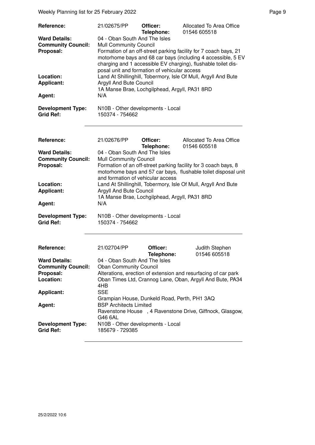| <b>Reference:</b>                                              | 21/02675/PP                                                                                                                                                                                                                                                                                                  | Officer:<br>Telephone:                        | Allocated To Area Office<br>01546 605518                       |  |
|----------------------------------------------------------------|--------------------------------------------------------------------------------------------------------------------------------------------------------------------------------------------------------------------------------------------------------------------------------------------------------------|-----------------------------------------------|----------------------------------------------------------------|--|
| <b>Ward Details:</b><br><b>Community Council:</b><br>Proposal: | 04 - Oban South And The Isles<br>Mull Community Council<br>Formation of an off-street parking facility for 7 coach bays, 21<br>motorhome bays and 68 car bays (including 4 accessible, 5 EV<br>charging and 1 accessible EV charging), flushable toilet dis-<br>posal unit and formation of vehicular access |                                               |                                                                |  |
| Location:<br><b>Applicant:</b>                                 | Argyll And Bute Council                                                                                                                                                                                                                                                                                      | 1A Manse Brae, Lochgilphead, Argyll, PA31 8RD | Land At Shillinghill, Tobermory, Isle Of Mull, Argyll And Bute |  |
| Agent:                                                         | N/A                                                                                                                                                                                                                                                                                                          |                                               |                                                                |  |
| <b>Development Type:</b><br><b>Grid Ref:</b>                   | 150374 - 754662                                                                                                                                                                                                                                                                                              | N10B - Other developments - Local             |                                                                |  |
| Reference:                                                     | 21/02676/PP                                                                                                                                                                                                                                                                                                  | Officer:<br>Telephone:                        | Allocated To Area Office<br>01546 605518                       |  |
| <b>Ward Details:</b><br><b>Community Council:</b><br>Proposal: | 04 - Oban South And The Isles<br>Mull Community Council<br>Formation of an off-street parking facility for 3 coach bays, 8<br>motorhome bays and 57 car bays, flushable toilet disposal unit<br>and formation of vehicular access                                                                            |                                               |                                                                |  |
| Location:<br><b>Applicant:</b>                                 | Argyll And Bute Council                                                                                                                                                                                                                                                                                      | 1A Manse Brae, Lochgilphead, Argyll, PA31 8RD | Land At Shillinghill, Tobermory, Isle Of Mull, Argyll And Bute |  |
| Agent:                                                         | N/A                                                                                                                                                                                                                                                                                                          |                                               |                                                                |  |
| <b>Development Type:</b><br><b>Grid Ref:</b>                   | 150374 - 754662                                                                                                                                                                                                                                                                                              | N10B - Other developments - Local             |                                                                |  |
| Reference:                                                     | 21/02704/PP                                                                                                                                                                                                                                                                                                  | Officer:                                      | Judith Stephen                                                 |  |
| <b>Ward Details:</b>                                           | 04 - Oban South And The Isles                                                                                                                                                                                                                                                                                | Telephone:                                    | 01546 605518                                                   |  |
| <b>Community Council:</b>                                      | <b>Oban Community Council</b>                                                                                                                                                                                                                                                                                |                                               |                                                                |  |
| Proposal:                                                      |                                                                                                                                                                                                                                                                                                              |                                               | Alterations, erection of extension and resurfacing of car park |  |
| Location:                                                      | 4HB                                                                                                                                                                                                                                                                                                          |                                               | Oban Times Ltd, Crannog Lane, Oban, Argyll And Bute, PA34      |  |
| <b>Applicant:</b>                                              | <b>SSE</b>                                                                                                                                                                                                                                                                                                   |                                               |                                                                |  |
|                                                                |                                                                                                                                                                                                                                                                                                              | Grampian House, Dunkeld Road, Perth, PH1 3AQ  |                                                                |  |
| Agent:                                                         | <b>BSP Architects Limited</b><br>G46 6AL                                                                                                                                                                                                                                                                     |                                               | Ravenstone House , 4 Ravenstone Drive, Giffnock, Glasgow,      |  |
| <b>Development Type:</b><br><b>Grid Ref:</b>                   | 185679 - 729385                                                                                                                                                                                                                                                                                              | N10B - Other developments - Local             |                                                                |  |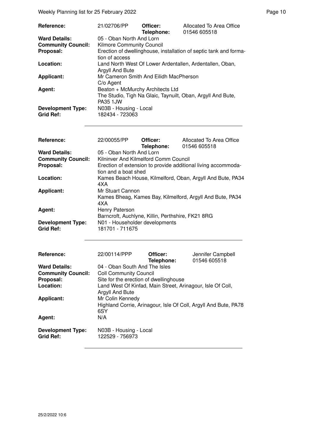| Reference:                | 21/02706/PP                            | Officer:<br>Telephone: | Allocated To Area Office<br>01546 605518                          |
|---------------------------|----------------------------------------|------------------------|-------------------------------------------------------------------|
| <b>Ward Details:</b>      | 05 - Oban North And Lorn               |                        |                                                                   |
| <b>Community Council:</b> | <b>Kilmore Community Council</b>       |                        |                                                                   |
| Proposal:                 |                                        |                        | Erection of dwellinghouse, installation of septic tank and forma- |
|                           | tion of access                         |                        |                                                                   |
| Location:                 |                                        |                        | Land North West Of Lower Ardentallen, Ardentallen, Oban,          |
|                           | Argyll And Bute                        |                        |                                                                   |
| <b>Applicant:</b>         | Mr Cameron Smith And Eilidh MacPherson |                        |                                                                   |
|                           | C/o Agent                              |                        |                                                                   |
| Agent:                    | Beaton + McMurchy Architects Ltd       |                        |                                                                   |
|                           |                                        |                        | The Studio, Tigh Na Glaic, Taynuilt, Oban, Argyll And Bute,       |
|                           | <b>PA35 1JW</b>                        |                        |                                                                   |
| <b>Development Type:</b>  | N03B - Housing - Local                 |                        |                                                                   |
| <b>Grid Ref:</b>          | 182434 - 723063                        |                        |                                                                   |

| Reference:                | 22/00055/PP                                       | Officer:   | Allocated To Area Office                                        |
|---------------------------|---------------------------------------------------|------------|-----------------------------------------------------------------|
|                           |                                                   | Telephone: | 01546 605518                                                    |
| <b>Ward Details:</b>      | 05 - Oban North And Lorn                          |            |                                                                 |
| <b>Community Council:</b> | Kilninver And Kilmelford Comm Council             |            |                                                                 |
| Proposal:                 |                                                   |            | Erection of extension to provide additional living accommoda-   |
|                           | tion and a boat shed                              |            |                                                                 |
| Location:                 |                                                   |            | Kames Beach House, Kilmelford, Oban, Argyll And Bute, PA34      |
|                           | 4XA                                               |            |                                                                 |
| <b>Applicant:</b>         | Mr Stuart Cannon                                  |            |                                                                 |
|                           |                                                   |            | Kames Bheag, Kames Bay, Kilmelford, Argyll And Bute, PA34       |
|                           | 4XA                                               |            |                                                                 |
| Agent:                    | Henry Paterson                                    |            |                                                                 |
|                           | Barncroft, Auchlyne, Killin, Perthshire, FK21 8RG |            |                                                                 |
| <b>Development Type:</b>  | N01 - Householder developments                    |            |                                                                 |
| <b>Grid Ref:</b>          | 181701 - 711675                                   |            |                                                                 |
|                           |                                                   |            |                                                                 |
| Reference:                | 22/00114/PPP                                      | Officer:   | Jennifer Campbell                                               |
|                           |                                                   | Telephone: | 01546 605518                                                    |
| <b>Ward Details:</b>      | 04 - Oban South And The Isles                     |            |                                                                 |
| <b>Community Council:</b> | <b>Coll Community Council</b>                     |            |                                                                 |
| Proposal:                 | Site for the erection of dwellinghouse            |            |                                                                 |
| Location:                 |                                                   |            | Land West Of Kinfad, Main Street, Arinagour, Isle Of Coll,      |
|                           | Argyll And Bute                                   |            |                                                                 |
| <b>Applicant:</b>         | Mr Colin Kennedy                                  |            |                                                                 |
|                           |                                                   |            | Highland Corrie, Arinagour, Isle Of Coll, Argyll And Bute, PA78 |
|                           | 6SY                                               |            |                                                                 |
| Agent:                    | N/A                                               |            |                                                                 |
|                           |                                                   |            |                                                                 |
| <b>Development Type:</b>  | N03B - Housing - Local                            |            |                                                                 |

**Grid Ref:** 122529 - 756973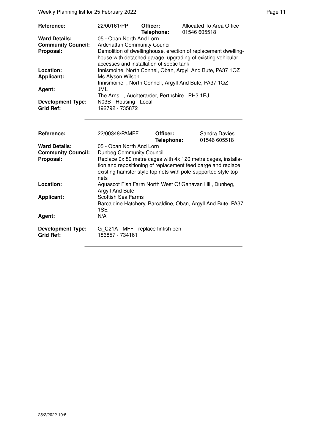Weekly Planning list for 25 February 2022 **Page 11** Assembly Page 11

| <b>Reference:</b>                            | 22/00161/PP                                 | Officer:<br>Telephone: | Allocated To Area Office<br>01546 605518                                                                                      |
|----------------------------------------------|---------------------------------------------|------------------------|-------------------------------------------------------------------------------------------------------------------------------|
| <b>Ward Details:</b>                         | 05 - Oban North And Lorn                    |                        |                                                                                                                               |
| <b>Community Council:</b>                    | <b>Ardchattan Community Council</b>         |                        |                                                                                                                               |
| Proposal:                                    | accesses and installation of septic tank    |                        | Demolition of dwellinghouse, erection of replacement dwelling-<br>house with detached garage, upgrading of existing vehicular |
| Location:                                    |                                             |                        | Innismoine, North Connel, Oban, Argyll And Bute, PA37 1QZ                                                                     |
| Applicant:                                   | Ms Alyson Wilson                            |                        |                                                                                                                               |
|                                              |                                             |                        | Innismoine, North Connell, Argyll And Bute, PA37 1QZ                                                                          |
| Agent:                                       | JML                                         |                        |                                                                                                                               |
|                                              | The Arns, Auchterarder, Perthshire, PH3 1EJ |                        |                                                                                                                               |
| <b>Development Type:</b><br><b>Grid Ref:</b> | N03B - Housing - Local<br>192792 - 735872   |                        |                                                                                                                               |

| Reference:                                   | 22/00348/PAMFF                                                                                                                                                                                        | Officer:<br>Telephone: | Sandra Davies<br>01546 605518 |
|----------------------------------------------|-------------------------------------------------------------------------------------------------------------------------------------------------------------------------------------------------------|------------------------|-------------------------------|
| <b>Ward Details:</b>                         | 05 - Oban North And Lorn                                                                                                                                                                              |                        |                               |
| <b>Community Council:</b>                    | Dunbeg Community Council                                                                                                                                                                              |                        |                               |
| Proposal:                                    | Replace 9x 80 metre cages with 4x 120 metre cages, installa-<br>tion and repositioning of replacement feed barge and replace<br>existing hamster style top nets with pole-supported style top<br>nets |                        |                               |
| Location:                                    | Aquascot Fish Farm North West Of Ganavan Hill, Dunbeg,<br>Argyll And Bute                                                                                                                             |                        |                               |
| <b>Applicant:</b>                            | <b>Scottish Sea Farms</b><br>Barcaldine Hatchery, Barcaldine, Oban, Argyll And Bute, PA37<br>1SE                                                                                                      |                        |                               |
| Agent:                                       | N/A                                                                                                                                                                                                   |                        |                               |
| <b>Development Type:</b><br><b>Grid Ref:</b> | G C21A - MFF - replace finfish pen<br>186857 - 734161                                                                                                                                                 |                        |                               |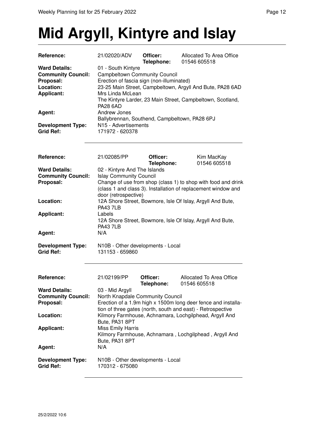# **Mid Argyll, Kintyre and Islay**

| Reference:                | 21/02020/ADV                                              | Officer:<br>Telephone: | Allocated To Area Office<br>01546 605518                   |
|---------------------------|-----------------------------------------------------------|------------------------|------------------------------------------------------------|
| <b>Ward Details:</b>      | 01 - South Kintyre                                        |                        |                                                            |
| <b>Community Council:</b> | <b>Campbeltown Community Council</b>                      |                        |                                                            |
| Proposal:                 | Erection of fascia sign (non-illuminated)                 |                        |                                                            |
| Location:                 | 23-25 Main Street, Campbeltown, Argyll And Bute, PA28 6AD |                        |                                                            |
| <b>Applicant:</b>         | Mrs Linda McLean                                          |                        |                                                            |
|                           | <b>PA28 6AD</b>                                           |                        | The Kintyre Larder, 23 Main Street, Campbeltown, Scotland, |
| Agent:                    | Andrew Jones                                              |                        |                                                            |
|                           | Ballybrennan, Southend, Campbeltown, PA28 6PJ             |                        |                                                            |
| <b>Development Type:</b>  | N <sub>15</sub> - Advertisements                          |                        |                                                            |
| <b>Grid Ref:</b>          | 171972 - 620378                                           |                        |                                                            |
|                           |                                                           |                        |                                                            |

| Reference:                | 21/02085/PP                                    | Officer:                                                      | Kim MacKay   |
|---------------------------|------------------------------------------------|---------------------------------------------------------------|--------------|
|                           |                                                | Telephone:                                                    | 01546 605518 |
| <b>Ward Details:</b>      | 02 - Kintyre And The Islands                   |                                                               |              |
| <b>Community Council:</b> | <b>Islay Community Council</b>                 |                                                               |              |
| Proposal:                 |                                                | Change of use from shop (class 1) to shop with food and drink |              |
|                           |                                                | (class 1 and class 3). Installation of replacement window and |              |
|                           | door (retrospective)                           |                                                               |              |
| Location:                 |                                                | 12A Shore Street, Bowmore, Isle Of Islay, Argyll And Bute,    |              |
|                           | <b>PA43 7LB</b>                                |                                                               |              |
| <b>Applicant:</b>         | Labels                                         |                                                               |              |
|                           |                                                | 12A Shore Street, Bowmore, Isle Of Islay, Argyll And Bute,    |              |
|                           | <b>PA43 7LB</b>                                |                                                               |              |
| Agent:                    | N/A                                            |                                                               |              |
| <b>Development Type:</b>  | N <sub>10</sub> B - Other developments - Local |                                                               |              |
| <b>Grid Ref:</b>          | 131153 - 659860                                |                                                               |              |

| <b>Reference:</b>                            | 21/02199/PP                                          | Officer:<br>Telephone: | Allocated To Area Office<br>01546 605518                                                                                     |
|----------------------------------------------|------------------------------------------------------|------------------------|------------------------------------------------------------------------------------------------------------------------------|
| <b>Ward Details:</b>                         | 03 - Mid Argyll                                      |                        |                                                                                                                              |
| <b>Community Council:</b>                    | North Knapdale Community Council                     |                        |                                                                                                                              |
| Proposal:                                    |                                                      |                        | Erection of a 1.9m high x 1500m long deer fence and installa-<br>tion of three gates (north, south and east) - Retrospective |
| Location:                                    | Bute, PA31 8PT                                       |                        | Kilmory Farmhouse, Achnamara, Lochgilphead, Argyll And                                                                       |
| <b>Applicant:</b>                            | <b>Miss Emily Harris</b><br>Bute, PA31 8PT           |                        | Kilmory Farmhouse, Achnamara, Lochgilphead, Argyll And                                                                       |
| Agent:                                       | N/A                                                  |                        |                                                                                                                              |
| <b>Development Type:</b><br><b>Grid Ref:</b> | N10B - Other developments - Local<br>170312 - 675080 |                        |                                                                                                                              |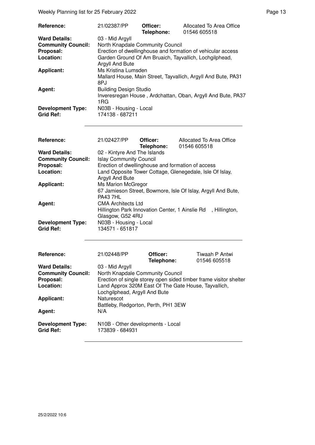Weekly Planning list for 25 February 2022 **Page 13** Page 13

| Reference:                | 21/02387/PP                                                               | Officer:<br>Telephone: | Allocated To Area Office<br>01546 605518                      |
|---------------------------|---------------------------------------------------------------------------|------------------------|---------------------------------------------------------------|
| <b>Ward Details:</b>      | 03 - Mid Argyll                                                           |                        |                                                               |
| <b>Community Council:</b> | North Knapdale Community Council                                          |                        |                                                               |
| Proposal:                 |                                                                           |                        | Erection of dwellinghouse and formation of vehicular access   |
| Location:                 | Garden Ground Of Am Bruaich, Tayvallich, Lochgilphead,<br>Argyll And Bute |                        |                                                               |
| <b>Applicant:</b>         | Ms Kristina Lumsden                                                       |                        |                                                               |
|                           | 8PJ                                                                       |                        | Mallard House, Main Street, Tayvallich, Argyll And Bute, PA31 |
| Agent:                    | <b>Building Design Studio</b>                                             |                        |                                                               |
|                           | 1RG                                                                       |                        | Inveresregan House, Ardchattan, Oban, Argyll And Bute, PA37   |
| <b>Development Type:</b>  | N03B - Housing - Local                                                    |                        |                                                               |
| <b>Grid Ref:</b>          | 174138 - 687211                                                           |                        |                                                               |

| <b>Reference:</b>         | 21/02427/PP                                       | Officer:<br>Telephone: | Allocated To Area Office<br>01546 605518                     |
|---------------------------|---------------------------------------------------|------------------------|--------------------------------------------------------------|
| <b>Ward Details:</b>      | 02 - Kintyre And The Islands                      |                        |                                                              |
| <b>Community Council:</b> | <b>Islay Community Council</b>                    |                        |                                                              |
| Proposal:                 | Erection of dwellinghouse and formation of access |                        |                                                              |
| Location:                 |                                                   |                        | Land Opposite Tower Cottage, Glenegedale, Isle Of Islay,     |
|                           | Argyll And Bute                                   |                        |                                                              |
| <b>Applicant:</b>         | <b>Ms Marion McGregor</b>                         |                        |                                                              |
|                           |                                                   |                        | 67 Jamieson Street, Bowmore, Isle Of Islay, Argyll And Bute, |
|                           | <b>PA43 7HL</b>                                   |                        |                                                              |
| Agent:                    | <b>CMA Architects Ltd</b>                         |                        |                                                              |
|                           |                                                   |                        | Hillington Park Innovation Center, 1 Ainslie Rd, Hillington, |
|                           | Glasgow, G52 4RU                                  |                        |                                                              |
| <b>Development Type:</b>  | N03B - Housing - Local                            |                        |                                                              |
| <b>Grid Ref:</b>          | 134571 - 651817                                   |                        |                                                              |
|                           |                                                   |                        |                                                              |
|                           |                                                   |                        |                                                              |
|                           |                                                   |                        |                                                              |

| Reference:                                   | 21/02448/PP                                                                           | Officer:   | Tiwaah P Antwi                                                    |
|----------------------------------------------|---------------------------------------------------------------------------------------|------------|-------------------------------------------------------------------|
|                                              |                                                                                       | Telephone: | 01546 605518                                                      |
| <b>Ward Details:</b>                         | 03 - Mid Argyll                                                                       |            |                                                                   |
| <b>Community Council:</b>                    | North Knapdale Community Council                                                      |            |                                                                   |
| Proposal:                                    |                                                                                       |            | Erection of single storey open sided timber frame visitor shelter |
| Location:                                    | Land Approx 320M East Of The Gate House, Tayvallich,<br>Lochgilphead, Argyll And Bute |            |                                                                   |
| <b>Applicant:</b>                            | Naturescot                                                                            |            |                                                                   |
|                                              | Battleby, Redgorton, Perth, PH1 3EW                                                   |            |                                                                   |
| Agent:                                       | N/A                                                                                   |            |                                                                   |
| <b>Development Type:</b><br><b>Grid Ref:</b> | N10B - Other developments - Local<br>173839 - 684931                                  |            |                                                                   |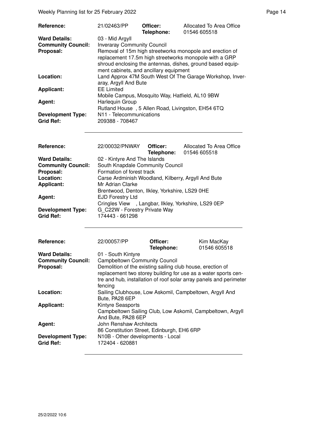Weekly Planning list for 25 February 2022 **Page 14** Page 14

| <b>Reference:</b>                                 | 21/02463/PP                                                                                                                                                                                                                | Officer:<br>Telephone: | Allocated To Area Office<br>01546 605518 |  |
|---------------------------------------------------|----------------------------------------------------------------------------------------------------------------------------------------------------------------------------------------------------------------------------|------------------------|------------------------------------------|--|
| <b>Ward Details:</b><br><b>Community Council:</b> | 03 - Mid Argyll<br><b>Inveraray Community Council</b>                                                                                                                                                                      |                        |                                          |  |
| Proposal:                                         | Removal of 15m high streetworks monopole and erection of<br>replacement 17.5m high streetworks monopole with a GRP<br>shroud enclosing the antennas, dishes, ground based equip-<br>ment cabinets, and ancillary equipment |                        |                                          |  |
| Location:                                         | Land Approx 47M South West Of The Garage Workshop, Inver-<br>aray, Argyll And Bute                                                                                                                                         |                        |                                          |  |
| Applicant:                                        | <b>EE Limited</b><br>Mobile Campus, Mosquito Way, Hatfield, AL10 9BW<br>Harlequin Group<br>Rutland House, 5 Allen Road, Livingston, EH54 6TQ                                                                               |                        |                                          |  |
| Agent:                                            |                                                                                                                                                                                                                            |                        |                                          |  |
| <b>Development Type:</b><br><b>Grid Ref:</b>      | N11 - Telecommunications<br>209388 - 708467                                                                                                                                                                                |                        |                                          |  |

| Reference:                                   | 22/00032/PNWAY Officer:                              |  | Allocated To Area Office<br>Telephone: 01546 605518 |
|----------------------------------------------|------------------------------------------------------|--|-----------------------------------------------------|
| <b>Ward Details:</b>                         | 02 - Kintyre And The Islands                         |  |                                                     |
| <b>Community Council:</b>                    | South Knapdale Community Council                     |  |                                                     |
| Proposal:                                    | Formation of forest track                            |  |                                                     |
| Location:                                    | Carse Ardminish Woodland, Kilberry, Argyll And Bute  |  |                                                     |
| <b>Applicant:</b>                            | Mr Adrian Clarke                                     |  |                                                     |
|                                              | Brentwood, Denton, Ilkley, Yorkshire, LS29 0HE       |  |                                                     |
| Agent:                                       | <b>EJD Forestry Ltd</b>                              |  |                                                     |
|                                              | Cringles View , Langbar, Ilkley, Yorkshire, LS29 0EP |  |                                                     |
| <b>Development Type:</b><br><b>Grid Ref:</b> | G C22W - Forestry Private Way<br>174443 - 661298     |  |                                                     |

| Reference:                                   | 22/00057/PP                                                                                                                                                                                                   | Officer:<br>Telephone: | Kim MacKay<br>01546 605518 |
|----------------------------------------------|---------------------------------------------------------------------------------------------------------------------------------------------------------------------------------------------------------------|------------------------|----------------------------|
| <b>Ward Details:</b>                         | 01 - South Kintyre                                                                                                                                                                                            |                        |                            |
| <b>Community Council:</b>                    | <b>Campbeltown Community Council</b>                                                                                                                                                                          |                        |                            |
| Proposal:                                    | Demolition of the existing sailing club house, erection of<br>replacement two storey building for use as a water sports cen-<br>tre and hub, installation of roof solar array panels and perimeter<br>fencing |                        |                            |
| Location:                                    | Sailing Clubhouse, Low Askomil, Campbeltown, Argyll And<br>Bute, PA28 6EP                                                                                                                                     |                        |                            |
| <b>Applicant:</b>                            | <b>Kintyre Seasports</b><br>Campbeltown Sailing Club, Low Askomil, Campbeltown, Argyll<br>And Bute, PA28 6EP                                                                                                  |                        |                            |
| Agent:                                       | John Renshaw Architects<br>86 Constitution Street, Edinburgh, EH6 6RP                                                                                                                                         |                        |                            |
| <b>Development Type:</b><br><b>Grid Ref:</b> | N10B - Other developments - Local<br>172404 - 620881                                                                                                                                                          |                        |                            |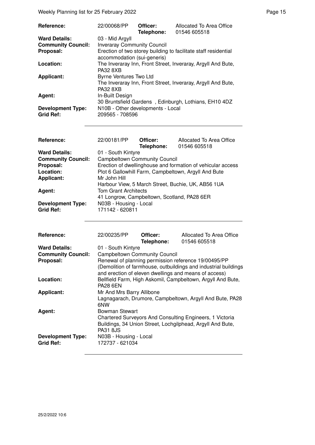Weekly Planning list for 25 February 2022 **Page 15** Neekly Planning list for 25 February 2022

| <b>Reference:</b>                            | 22/00068/PP                                          | Officer:<br>Telephone: | Allocated To Area Office<br>01546 605518                        |
|----------------------------------------------|------------------------------------------------------|------------------------|-----------------------------------------------------------------|
| <b>Ward Details:</b>                         | 03 - Mid Argyll                                      |                        |                                                                 |
| <b>Community Council:</b>                    | <b>Inveraray Community Council</b>                   |                        |                                                                 |
| Proposal:                                    | accommodation (sui-generis)                          |                        | Erection of two storey building to facilitate staff residential |
| Location:                                    | <b>PA32 8XB</b>                                      |                        | The Inveraray Inn, Front Street, Inveraray, Argyll And Bute,    |
| <b>Applicant:</b>                            | <b>Byrne Ventures Two Ltd</b><br><b>PA32 8XB</b>     |                        | The Inveraray Inn, Front Street, Inveraray, Argyll And Bute,    |
| Agent:                                       | In-Built Design                                      |                        | 30 Bruntsfield Gardens, Edinburgh, Lothians, EH10 4DZ           |
| <b>Development Type:</b><br><b>Grid Ref:</b> | N10B - Other developments - Local<br>209565 - 708596 |                        |                                                                 |

| Reference:                | 22/00181/PP                                                 | Officer:   | Allocated To Area Office                           |  |
|---------------------------|-------------------------------------------------------------|------------|----------------------------------------------------|--|
|                           |                                                             | Telephone: | 01546 605518                                       |  |
| <b>Ward Details:</b>      | 01 - South Kintyre                                          |            |                                                    |  |
| <b>Community Council:</b> | <b>Campbeltown Community Council</b>                        |            |                                                    |  |
| Proposal:                 | Erection of dwellinghouse and formation of vehicular access |            |                                                    |  |
| Location:                 | Plot 6 Gallowhill Farm, Campbeltown, Argyll And Bute        |            |                                                    |  |
| <b>Applicant:</b>         | Mr John Hill                                                |            |                                                    |  |
|                           |                                                             |            | Harbour View, 5 March Street, Buchie, UK, AB56 1UA |  |
| Agent:                    | <b>Tom Grant Architects</b>                                 |            |                                                    |  |
|                           | 41 Longrow, Campbeltown, Scotland, PA28 6ER                 |            |                                                    |  |
| <b>Development Type:</b>  | N03B - Housing - Local                                      |            |                                                    |  |
| Grid Ref:                 | 171142 - 620811                                             |            |                                                    |  |

| <b>Reference:</b>         | 22/00235/PP                                                                                                             | Officer:<br>Telephone: | Allocated To Area Office<br>01546 605518                                                                               |  |  |  |
|---------------------------|-------------------------------------------------------------------------------------------------------------------------|------------------------|------------------------------------------------------------------------------------------------------------------------|--|--|--|
| <b>Ward Details:</b>      | 01 - South Kintyre                                                                                                      |                        |                                                                                                                        |  |  |  |
| <b>Community Council:</b> | <b>Campbeltown Community Council</b>                                                                                    |                        |                                                                                                                        |  |  |  |
| Proposal:                 | Renewal of planning permission reference 19/00495/PP<br>(Demolition of farmhouse, outbuildings and industrial buildings |                        |                                                                                                                        |  |  |  |
|                           | and erection of eleven dwellings and means of access)                                                                   |                        |                                                                                                                        |  |  |  |
| Location:                 | Bellfield Farm, High Askomil, Campbeltown, Argyll And Bute,<br><b>PA28 6EN</b>                                          |                        |                                                                                                                        |  |  |  |
| <b>Applicant:</b>         | Mr And Mrs Barry Allibone<br>Lagnagarach, Drumore, Campbeltown, Argyll And Bute, PA28<br>6NW                            |                        |                                                                                                                        |  |  |  |
|                           |                                                                                                                         |                        |                                                                                                                        |  |  |  |
| Agent:                    | Bowman Stewart                                                                                                          |                        |                                                                                                                        |  |  |  |
|                           | <b>PA31 8JS</b>                                                                                                         |                        | Chartered Surveyors And Consulting Engineers, 1 Victoria<br>Buildings, 34 Union Street, Lochgilphead, Argyll And Bute, |  |  |  |
| <b>Development Type:</b>  | N03B - Housing - Local                                                                                                  |                        |                                                                                                                        |  |  |  |
| <b>Grid Ref:</b>          | 172737 - 621034                                                                                                         |                        |                                                                                                                        |  |  |  |